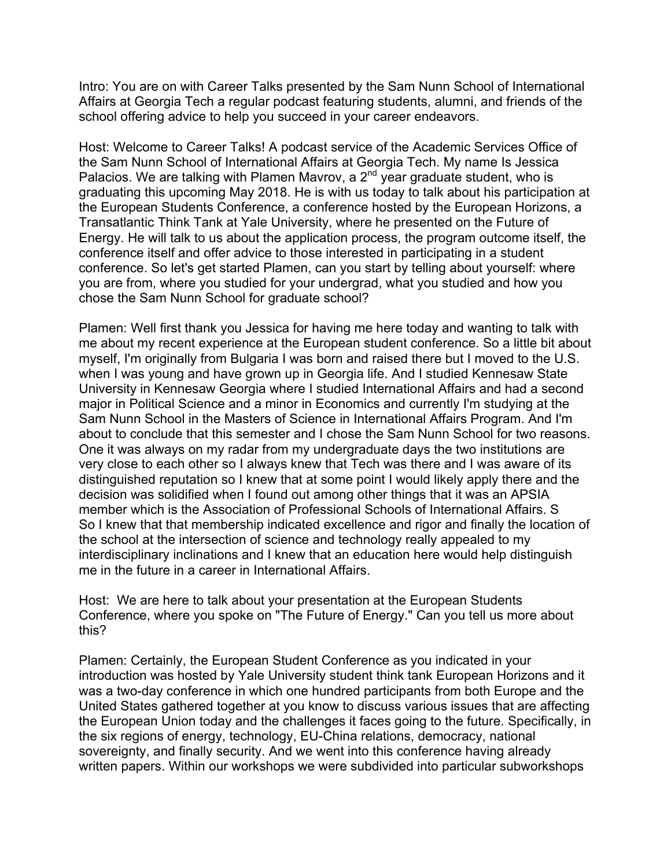Intro: You are on with Career Talks presented by the Sam Nunn School of International Affairs at Georgia Tech a regular podcast featuring students, alumni, and friends of the school offering advice to help you succeed in your career endeavors.

Host: Welcome to Career Talks! A podcast service of the Academic Services Office of the Sam Nunn School of International Affairs at Georgia Tech. My name Is Jessica Palacios. We are talking with Plamen Mavrov, a  $2^{nd}$  year graduate student, who is graduating this upcoming May 2018. He is with us today to talk about his participation at the European Students Conference, a conference hosted by the European Horizons, a Transatlantic Think Tank at Yale University, where he presented on the Future of Energy. He will talk to us about the application process, the program outcome itself, the conference itself and offer advice to those interested in participating in a student conference. So let's get started Plamen, can you start by telling about yourself: where you are from, where you studied for your undergrad, what you studied and how you chose the Sam Nunn School for graduate school?

Plamen: Well first thank you Jessica for having me here today and wanting to talk with me about my recent experience at the European student conference. So a little bit about myself, I'm originally from Bulgaria I was born and raised there but I moved to the U.S. when I was young and have grown up in Georgia life. And I studied Kennesaw State University in Kennesaw Georgia where I studied International Affairs and had a second major in Political Science and a minor in Economics and currently I'm studying at the Sam Nunn School in the Masters of Science in International Affairs Program. And I'm about to conclude that this semester and I chose the Sam Nunn School for two reasons. One it was always on my radar from my undergraduate days the two institutions are very close to each other so I always knew that Tech was there and I was aware of its distinguished reputation so I knew that at some point I would likely apply there and the decision was solidified when I found out among other things that it was an APSIA member which is the Association of Professional Schools of International Affairs. S So I knew that that membership indicated excellence and rigor and finally the location of the school at the intersection of science and technology really appealed to my interdisciplinary inclinations and I knew that an education here would help distinguish me in the future in a career in International Affairs.

Host: We are here to talk about your presentation at the European Students Conference, where you spoke on "The Future of Energy." Can you tell us more about this?

Plamen: Certainly, the European Student Conference as you indicated in your introduction was hosted by Yale University student think tank European Horizons and it was a two-day conference in which one hundred participants from both Europe and the United States gathered together at you know to discuss various issues that are affecting the European Union today and the challenges it faces going to the future. Specifically, in the six regions of energy, technology, EU-China relations, democracy, national sovereignty, and finally security. And we went into this conference having already written papers. Within our workshops we were subdivided into particular subworkshops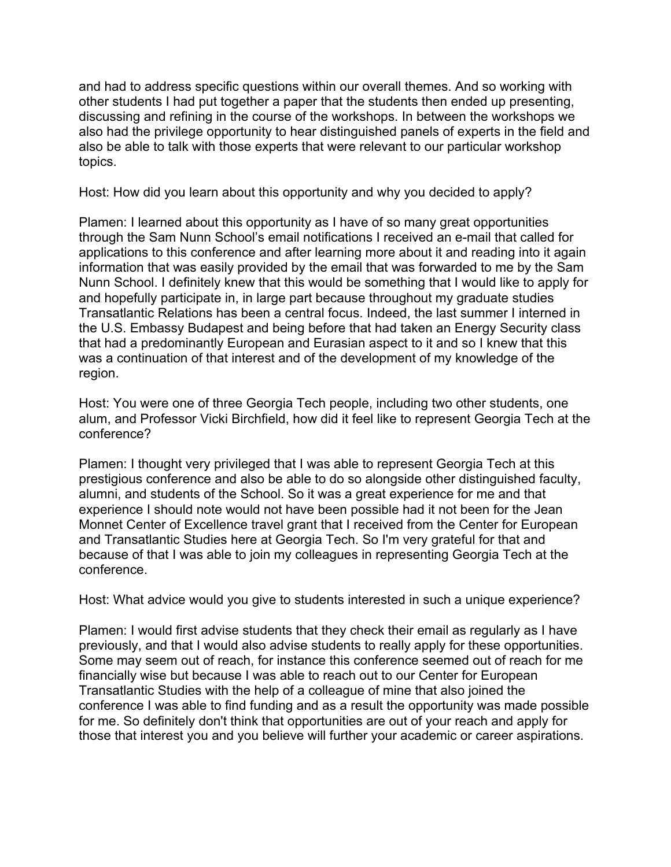and had to address specific questions within our overall themes. And so working with other students I had put together a paper that the students then ended up presenting, discussing and refining in the course of the workshops. In between the workshops we also had the privilege opportunity to hear distinguished panels of experts in the field and also be able to talk with those experts that were relevant to our particular workshop topics.

Host: How did you learn about this opportunity and why you decided to apply?

Plamen: I learned about this opportunity as I have of so many great opportunities through the Sam Nunn School's email notifications I received an e-mail that called for applications to this conference and after learning more about it and reading into it again information that was easily provided by the email that was forwarded to me by the Sam Nunn School. I definitely knew that this would be something that I would like to apply for and hopefully participate in, in large part because throughout my graduate studies Transatlantic Relations has been a central focus. Indeed, the last summer I interned in the U.S. Embassy Budapest and being before that had taken an Energy Security class that had a predominantly European and Eurasian aspect to it and so I knew that this was a continuation of that interest and of the development of my knowledge of the region.

Host: You were one of three Georgia Tech people, including two other students, one alum, and Professor Vicki Birchfield, how did it feel like to represent Georgia Tech at the conference?

Plamen: I thought very privileged that I was able to represent Georgia Tech at this prestigious conference and also be able to do so alongside other distinguished faculty, alumni, and students of the School. So it was a great experience for me and that experience I should note would not have been possible had it not been for the Jean Monnet Center of Excellence travel grant that I received from the Center for European and Transatlantic Studies here at Georgia Tech. So I'm very grateful for that and because of that I was able to join my colleagues in representing Georgia Tech at the conference.

Host: What advice would you give to students interested in such a unique experience?

Plamen: I would first advise students that they check their email as regularly as I have previously, and that I would also advise students to really apply for these opportunities. Some may seem out of reach, for instance this conference seemed out of reach for me financially wise but because I was able to reach out to our Center for European Transatlantic Studies with the help of a colleague of mine that also joined the conference I was able to find funding and as a result the opportunity was made possible for me. So definitely don't think that opportunities are out of your reach and apply for those that interest you and you believe will further your academic or career aspirations.